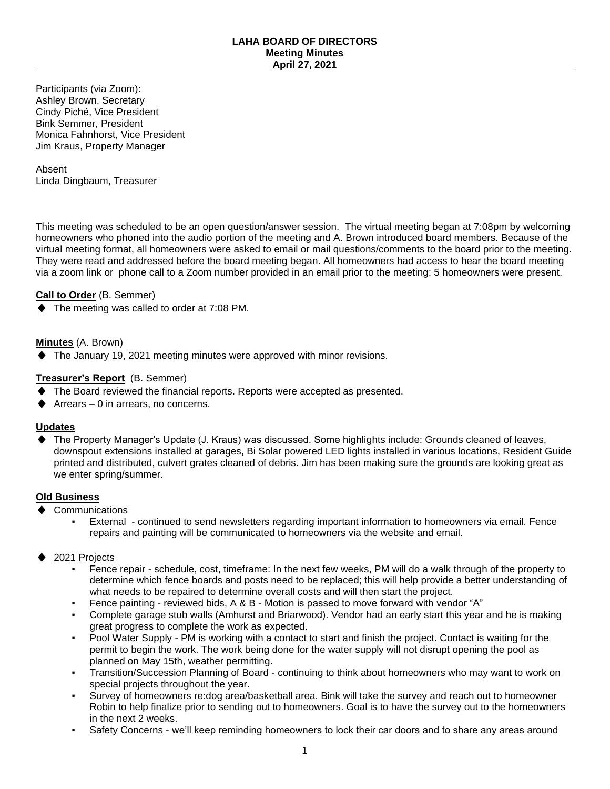Participants (via Zoom): Ashley Brown, Secretary Cindy Piché, Vice President Bink Semmer, President Monica Fahnhorst, Vice President Jim Kraus, Property Manager

Absent Linda Dingbaum, Treasurer

This meeting was scheduled to be an open question/answer session. The virtual meeting began at 7:08pm by welcoming homeowners who phoned into the audio portion of the meeting and A. Brown introduced board members. Because of the virtual meeting format, all homeowners were asked to email or mail questions/comments to the board prior to the meeting. They were read and addressed before the board meeting began. All homeowners had access to hear the board meeting via a zoom link or phone call to a Zoom number provided in an email prior to the meeting; 5 homeowners were present.

# **Call to Order** (B. Semmer)

The meeting was called to order at 7:08 PM.

## **Minutes** (A. Brown)

The January 19, 2021 meeting minutes were approved with minor revisions.

## **Treasurer's Report** (B. Semmer)

- The Board reviewed the financial reports. Reports were accepted as presented.
- Arrears  $-0$  in arrears, no concerns.

#### **Updates**

The Property Manager's Update (J. Kraus) was discussed. Some highlights include: Grounds cleaned of leaves, downspout extensions installed at garages, Bi Solar powered LED lights installed in various locations, Resident Guide printed and distributed, culvert grates cleaned of debris. Jim has been making sure the grounds are looking great as we enter spring/summer.

## **Old Business**

- Communications
	- External continued to send newsletters regarding important information to homeowners via email. Fence repairs and painting will be communicated to homeowners via the website and email.
- 2021 Projects
	- Fence repair schedule, cost, timeframe: In the next few weeks, PM will do a walk through of the property to determine which fence boards and posts need to be replaced; this will help provide a better understanding of what needs to be repaired to determine overall costs and will then start the project.
	- Fence painting reviewed bids, A & B Motion is passed to move forward with vendor "A"
	- Complete garage stub walls (Amhurst and Briarwood). Vendor had an early start this year and he is making great progress to complete the work as expected.
	- Pool Water Supply PM is working with a contact to start and finish the project. Contact is waiting for the permit to begin the work. The work being done for the water supply will not disrupt opening the pool as planned on May 15th, weather permitting.
	- Transition/Succession Planning of Board continuing to think about homeowners who may want to work on special projects throughout the year.
	- Survey of homeowners re:dog area/basketball area. Bink will take the survey and reach out to homeowner Robin to help finalize prior to sending out to homeowners. Goal is to have the survey out to the homeowners in the next 2 weeks.
	- Safety Concerns we'll keep reminding homeowners to lock their car doors and to share any areas around